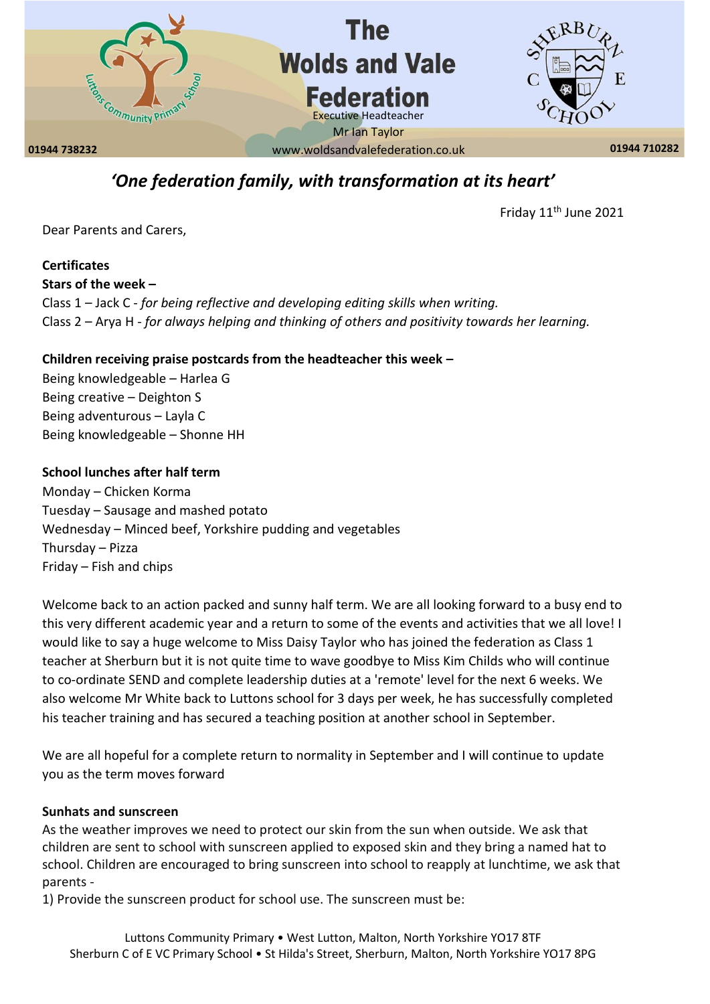

# *'One federation family, with transformation at its heart'*

Friday 11<sup>th</sup> June 2021

Dear Parents and Carers,

**Certificates Stars of the week –** Class 1 – Jack C - *for being reflective and developing editing skills when writing.* Class 2 – Arya H - *for always helping and thinking of others and positivity towards her learning.*

### **Children receiving praise postcards from the headteacher this week –**

Being knowledgeable – Harlea G Being creative – Deighton S Being adventurous – Layla C Being knowledgeable – Shonne HH

#### **School lunches after half term**

Monday – Chicken Korma Tuesday – Sausage and mashed potato Wednesday – Minced beef, Yorkshire pudding and vegetables Thursday – Pizza Friday – Fish and chips

Welcome back to an action packed and sunny half term. We are all looking forward to a busy end to this very different academic year and a return to some of the events and activities that we all love! I would like to say a huge welcome to Miss Daisy Taylor who has joined the federation as Class 1 teacher at Sherburn but it is not quite time to wave goodbye to Miss Kim Childs who will continue to co-ordinate SEND and complete leadership duties at a 'remote' level for the next 6 weeks. We also welcome Mr White back to Luttons school for 3 days per week, he has successfully completed his teacher training and has secured a teaching position at another school in September.

We are all hopeful for a complete return to normality in September and I will continue to update you as the term moves forward

#### **Sunhats and sunscreen**

As the weather improves we need to protect our skin from the sun when outside. We ask that children are sent to school with sunscreen applied to exposed skin and they bring a named hat to school. Children are encouraged to bring sunscreen into school to reapply at lunchtime, we ask that parents -

1) Provide the sunscreen product for school use. The sunscreen must be: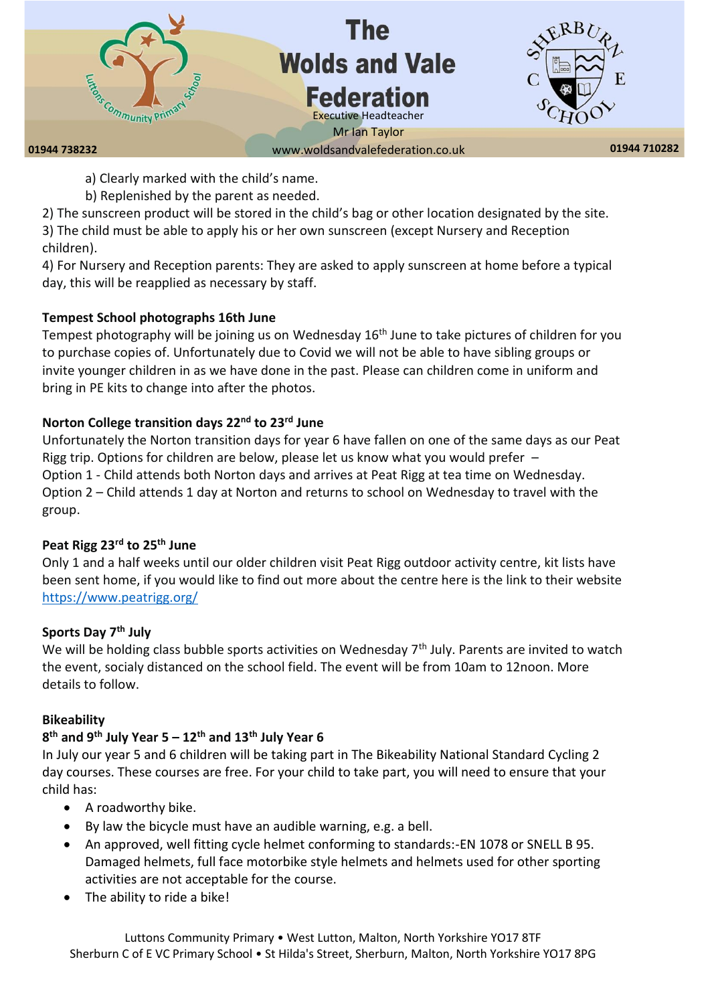

- a) Clearly marked with the child's name.
- b) Replenished by the parent as needed.

2) The sunscreen product will be stored in the child's bag or other location designated by the site. 3) The child must be able to apply his or her own sunscreen (except Nursery and Reception children).

4) For Nursery and Reception parents: They are asked to apply sunscreen at home before a typical day, this will be reapplied as necessary by staff.

### **Tempest School photographs 16th June**

Tempest photography will be joining us on Wednesday 16<sup>th</sup> June to take pictures of children for you to purchase copies of. Unfortunately due to Covid we will not be able to have sibling groups or invite younger children in as we have done in the past. Please can children come in uniform and bring in PE kits to change into after the photos.

# **Norton College transition days 22nd to 23rd June**

Unfortunately the Norton transition days for year 6 have fallen on one of the same days as our Peat Rigg trip. Options for children are below, please let us know what you would prefer – Option 1 - Child attends both Norton days and arrives at Peat Rigg at tea time on Wednesday. Option 2 – Child attends 1 day at Norton and returns to school on Wednesday to travel with the group.

# **Peat Rigg 23rd to 25th June**

Only 1 and a half weeks until our older children visit Peat Rigg outdoor activity centre, kit lists have been sent home, if you would like to find out more about the centre here is the link to their website <https://www.peatrigg.org/>

# **Sports Day 7 th July**

We will be holding class bubble sports activities on Wednesday  $7<sup>th</sup>$  July. Parents are invited to watch the event, socialy distanced on the school field. The event will be from 10am to 12noon. More details to follow.

### **Bikeability**

# **8 th and 9th July Year 5 – 12th and 13th July Year 6**

In July our year 5 and 6 children will be taking part in The Bikeability National Standard Cycling 2 day courses. These courses are free. For your child to take part, you will need to ensure that your child has:

- A roadworthy bike.
- By law the bicycle must have an audible warning, e.g. a bell.
- An approved, well fitting cycle helmet conforming to standards:-EN 1078 or SNELL B 95. Damaged helmets, full face motorbike style helmets and helmets used for other sporting activities are not acceptable for the course.
- The ability to ride a bike!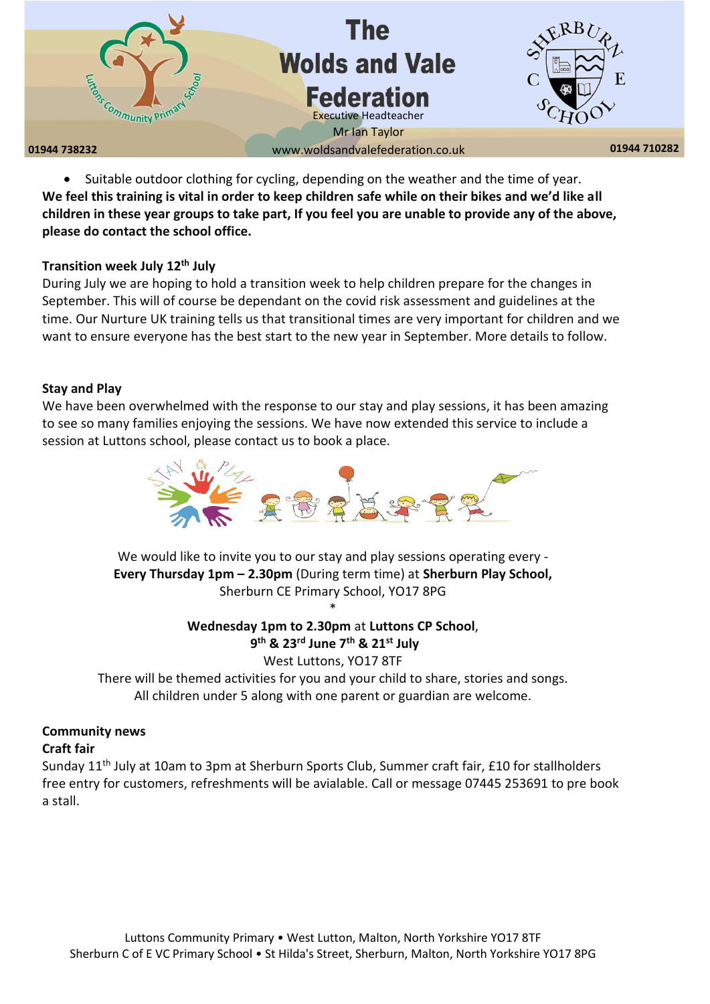

• Suitable outdoor clothing for cycling, depending on the weather and the time of year. **We feel this training is vital in order to keep children safe while on their bikes and we'd like all children in these year groups to take part, If you feel you are unable to provide any of the above, please do contact the school office.** 

#### **Transition week July 12th July**

During July we are hoping to hold a transition week to help children prepare for the changes in September. This will of course be dependant on the covid risk assessment and guidelines at the time. Our Nurture UK training tells us that transitional times are very important for children and we want to ensure everyone has the best start to the new year in September. More details to follow.

#### **Stay and Play**

We have been overwhelmed with the response to our stay and play sessions, it has been amazing to see so many families enjoying the sessions. We have now extended this service to include a session at Luttons school, please contact us to book a place.



We would like to invite you to our stay and play sessions operating every -**Every Thursday 1pm – 2.30pm** (During term time) at **Sherburn Play School,** Sherburn CE Primary School, YO17 8PG \*

# **Wednesday 1pm to 2.30pm** at **Luttons CP School**,

**9 th & 23rd June 7th & 21st July**  West Luttons, YO17 8TF There will be themed activities for you and your child to share, stories and songs. All children under 5 along with one parent or guardian are welcome.

### **Community news**

#### **Craft fair**

Sunday 11<sup>th</sup> July at 10am to 3pm at Sherburn Sports Club, Summer craft fair, £10 for stallholders free entry for customers, refreshments will be avialable. Call or message 07445 253691 to pre book a stall.